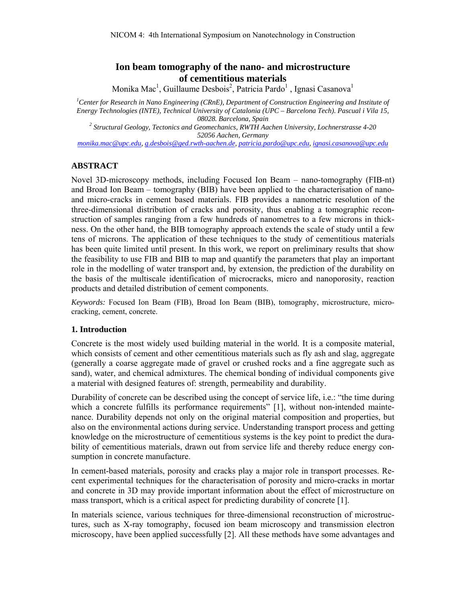# **Ion beam tomography of the nano- and microstructure of cementitious materials**

Monika Mac<sup>1</sup>, Guillaume Desbois<sup>2</sup>, Patricia Pardo<sup>1</sup>, Ignasi Casanova<sup>1</sup>

*1 Center for Research in Nano Engineering (CRnE), Department of Construction Engineering and Institute of Energy Technologies (INTE), Technical University of Catalonia (UPC – Barcelona Tech). Pascual i Vila 15, 08028. Barcelona, Spain 2 Structural Geology, Tectonics and Geomechanics, RWTH Aachen University, Lochnerstrasse 4-20* 

*52056 Aachen, Germany* 

*monika.mac@upc.edu, g.desbois@ged.rwth-aachen.de, patricia.pardo@upc.edu, ignasi.casanova@upc.edu* 

#### **ABSTRACT**

Novel 3D-microscopy methods, including Focused Ion Beam – nano-tomography (FIB-nt) and Broad Ion Beam – tomography (BIB) have been applied to the characterisation of nanoand micro-cracks in cement based materials. FIB provides a nanometric resolution of the three-dimensional distribution of cracks and porosity, thus enabling a tomographic reconstruction of samples ranging from a few hundreds of nanometres to a few microns in thickness. On the other hand, the BIB tomography approach extends the scale of study until a few tens of microns. The application of these techniques to the study of cementitious materials has been quite limited until present. In this work, we report on preliminary results that show the feasibility to use FIB and BIB to map and quantify the parameters that play an important role in the modelling of water transport and, by extension, the prediction of the durability on the basis of the multiscale identification of microcracks, micro and nanoporosity, reaction products and detailed distribution of cement components.

*Keywords:* Focused Ion Beam (FIB), Broad Ion Beam (BIB), tomography, microstructure, microcracking, cement, concrete.

#### **1. Introduction**

Concrete is the most widely used building material in the world. It is a composite material, which consists of cement and other cementitious materials such as fly ash and slag, aggregate (generally a coarse aggregate made of gravel or crushed rocks and a fine aggregate such as sand), water, and chemical admixtures. The chemical bonding of individual components give a material with designed features of: strength, permeability and durability.

Durability of concrete can be described using the concept of service life, i.e.: "the time during which a concrete fulfills its performance requirements" [1], without non-intended maintenance. Durability depends not only on the original material composition and properties, but also on the environmental actions during service. Understanding transport process and getting knowledge on the microstructure of cementitious systems is the key point to predict the durability of cementitious materials, drawn out from service life and thereby reduce energy consumption in concrete manufacture.

In cement-based materials, porosity and cracks play a major role in transport processes. Recent experimental techniques for the characterisation of porosity and micro-cracks in mortar and concrete in 3D may provide important information about the effect of microstructure on mass transport, which is a critical aspect for predicting durability of concrete [1].

In materials science, various techniques for three-dimensional reconstruction of microstructures, such as X-ray tomography, focused ion beam microscopy and transmission electron microscopy, have been applied successfully [2]. All these methods have some advantages and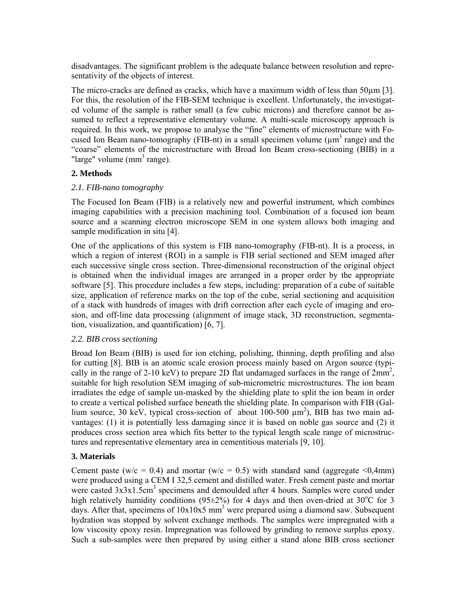disadvantages. The significant problem is the adequate balance between resolution and representativity of the objects of interest.

The micro-cracks are defined as cracks, which have a maximum width of less than 50 $\mu$ m [3]. For this, the resolution of the FIB-SEM technique is excellent. Unfortunately, the investigated volume of the sample is rather small (a few cubic microns) and therefore cannot be assumed to reflect a representative elementary volume. A multi-scale microscopy approach is required. In this work, we propose to analyse the "fine" elements of microstructure with Focused Ion Beam nano-tomography (FIB-nt) in a small specimen volume ( $\mu$ m<sup>3</sup> range) and the "coarse" elements of the microstructure with Broad Ion Beam cross-sectioning (BIB) in a "large" volume  $\text{(mm}^3 \text{ range})$ .

## **2. Methods**

### *2.1. FIB-nano tomography*

The Focused Ion Beam (FIB) is a relatively new and powerful instrument, which combines imaging capabilities with a precision machining tool. Combination of a focused ion beam source and a scanning electron microscope SEM in one system allows both imaging and sample modification in situ [4].

One of the applications of this system is FIB nano-tomography (FIB-nt). It is a process, in which a region of interest (ROI) in a sample is FIB serial sectioned and SEM imaged after each successive single cross section. Three-dimensional reconstruction of the original object is obtained when the individual images are arranged in a proper order by the appropriate software [5]. This procedure includes a few steps, including: preparation of a cube of suitable size, application of reference marks on the top of the cube, serial sectioning and acquisition of a stack with hundreds of images with drift correction after each cycle of imaging and erosion, and off-line data processing (alignment of image stack, 3D reconstruction, segmentation, visualization, and quantification) [6, 7].

### *2.2. BIB cross sectioning*

Broad Ion Beam (BIB) is used for ion etching, polishing, thinning, depth profiling and also for cutting [8]. BIB is an atomic scale erosion process mainly based on Argon source (typically in the range of 2-10 keV) to prepare 2D flat undamaged surfaces in the range of  $2mm^2$ , suitable for high resolution SEM imaging of sub-micrometric microstructures. The ion beam irradiates the edge of sample un-masked by the shielding plate to split the ion beam in order to create a vertical polished surface beneath the shielding plate. In comparison with FIB (Gallium source, 30 keV, typical cross-section of about  $100-500 \mu m^2$ ), BIB has two main advantages: (1) it is potentially less damaging since it is based on noble gas source and (2) it produces cross section area which fits better to the typical length scale range of microstructures and representative elementary area in cementitious materials [9, 10].

## **3. Materials**

Cement paste (w/c = 0.4) and mortar (w/c = 0.5) with standard sand (aggregate <0.4mm) were produced using a CEM I 32,5 cement and distilled water. Fresh cement paste and mortar were casted  $3x3x1.5cm<sup>3</sup>$  specimens and demoulded after 4 hours. Samples were cured under high relatively humidity conditions (95 $\pm$ 2%) for 4 days and then oven-dried at 30°C for 3 days. After that, specimens of  $10x10x5$  mm<sup>3</sup> were prepared using a diamond saw. Subsequent hydration was stopped by solvent exchange methods. The samples were impregnated with a low viscosity epoxy resin. Impregnation was followed by grinding to remove surplus epoxy. Such a sub-samples were then prepared by using either a stand alone BIB cross sectioner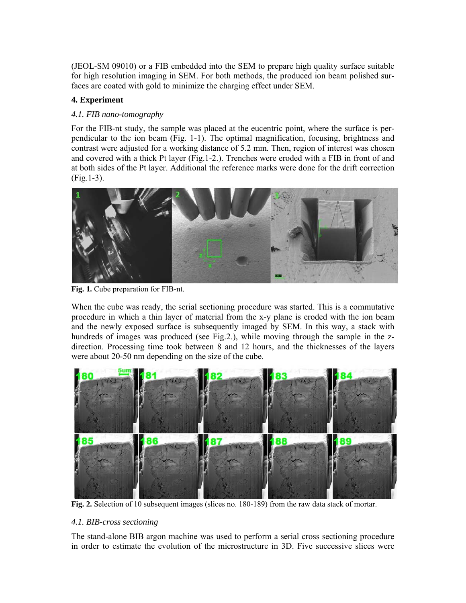(JEOL-SM 09010) or a FIB embedded into the SEM to prepare high quality surface suitable for high resolution imaging in SEM. For both methods, the produced ion beam polished surfaces are coated with gold to minimize the charging effect under SEM.

## **4. Experiment**

### *4.1. FIB nano-tomography*

For the FIB-nt study, the sample was placed at the eucentric point, where the surface is perpendicular to the ion beam (Fig. 1-1). The optimal magnification, focusing, brightness and contrast were adjusted for a working distance of 5.2 mm. Then, region of interest was chosen and covered with a thick Pt layer (Fig.1-2.). Trenches were eroded with a FIB in front of and at both sides of the Pt layer. Additional the reference marks were done for the drift correction (Fig.1-3).



**Fig. 1.** Cube preparation for FIB-nt.

When the cube was ready, the serial sectioning procedure was started. This is a commutative procedure in which a thin layer of material from the x-y plane is eroded with the ion beam and the newly exposed surface is subsequently imaged by SEM. In this way, a stack with hundreds of images was produced (see Fig.2.), while moving through the sample in the zdirection. Processing time took between 8 and 12 hours, and the thicknesses of the layers were about 20-50 nm depending on the size of the cube.



**Fig. 2.** Selection of 10 subsequent images (slices no. 180-189) from the raw data stack of mortar.

### *4.1. BIB-cross sectioning*

The stand-alone BIB argon machine was used to perform a serial cross sectioning procedure in order to estimate the evolution of the microstructure in 3D. Five successive slices were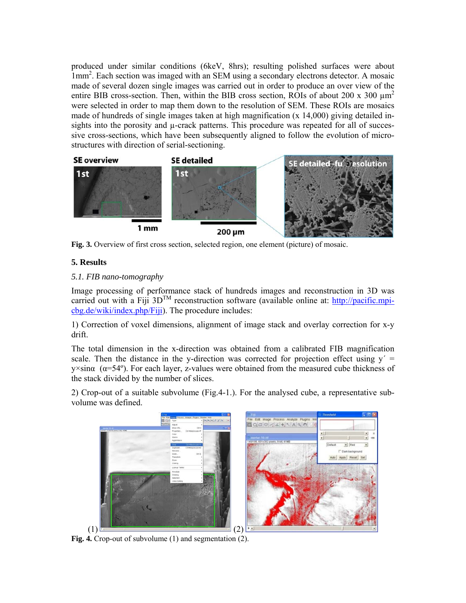produced under similar conditions (6keV, 8hrs); resulting polished surfaces were about 1mm<sup>2</sup>. Each section was imaged with an SEM using a secondary electrons detector. A mosaic made of several dozen single images was carried out in order to produce an over view of the entire BIB cross-section. Then, within the BIB cross section, ROIs of about 200 x 300  $\mu$ m<sup>2</sup> were selected in order to map them down to the resolution of SEM. These ROIs are mosaics made of hundreds of single images taken at high magnification  $(x 14,000)$  giving detailed insights into the porosity and  $\mu$ -crack patterns. This procedure was repeated for all of successive cross-sections, which have been subsequently aligned to follow the evolution of microstructures with direction of serial-sectioning.



**Fig. 3.** Overview of first cross section, selected region, one element (picture) of mosaic.

# **5. Results**

## *5.1. FIB nano-tomography*

Image processing of performance stack of hundreds images and reconstruction in 3D was carried out with a Fiji  $3D^{TM}$  reconstruction software (available online at: http://pacific.mpicbg.de/wiki/index.php/Fiji). The procedure includes:

1) Correction of voxel dimensions, alignment of image stack and overlay correction for x-y drift.

The total dimension in the x-direction was obtained from a calibrated FIB magnification scale. Then the distance in the y-direction was corrected for projection effect using  $y' =$  $y \times \sin \alpha$  ( $\alpha = 54^{\circ}$ ). For each layer, z-values were obtained from the measured cube thickness of the stack divided by the number of slices.

2) Crop-out of a suitable subvolume (Fig.4-1.). For the analysed cube, a representative subvolume was defined.



**Fig. 4.** Crop-out of subvolume (1) and segmentation (2).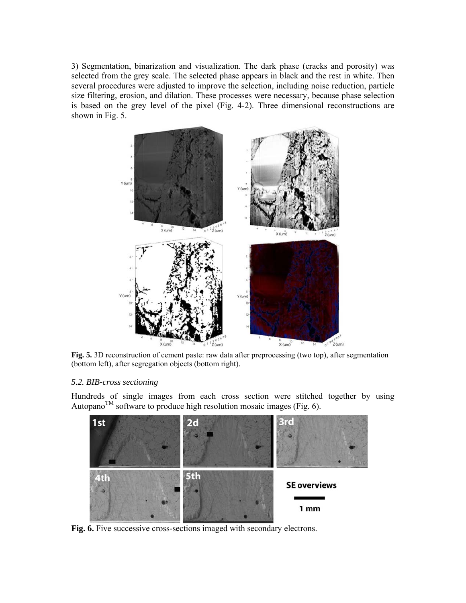3) Segmentation, binarization and visualization. The dark phase (cracks and porosity) was selected from the grey scale. The selected phase appears in black and the rest in white. Then several procedures were adjusted to improve the selection, including noise reduction, particle size filtering, erosion, and dilation. These processes were necessary, because phase selection is based on the grey level of the pixel (Fig. 4-2). Three dimensional reconstructions are shown in Fig. 5.



**Fig. 5.** 3D reconstruction of cement paste: raw data after preprocessing (two top), after segmentation (bottom left), after segregation objects (bottom right).

#### *5.2. BIB-cross sectioning*

Hundreds of single images from each cross section were stitched together by using Autopano<sup>TM</sup> software to produce high resolution mosaic images (Fig. 6).



**Fig. 6.** Five successive cross-sections imaged with secondary electrons.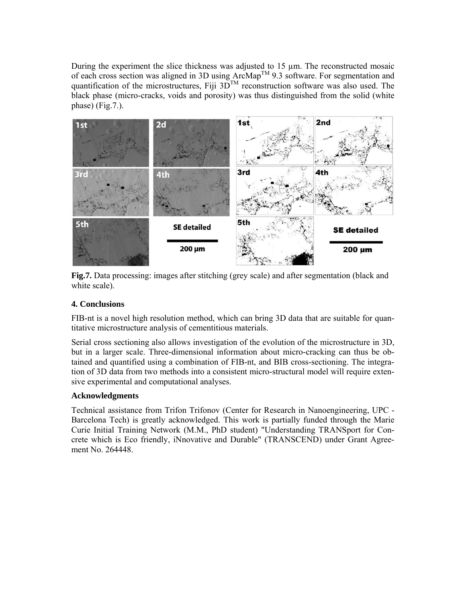During the experiment the slice thickness was adjusted to 15 µm. The reconstructed mosaic of each cross section was aligned in 3D using ArcMapTM 9.3 software. For segmentation and quantification of the microstructures, Fiji  $3D^{TM}$  reconstruction software was also used. The black phase (micro-cracks, voids and porosity) was thus distinguished from the solid (white phase) (Fig.7.).



**Fig.7.** Data processing: images after stitching (grey scale) and after segmentation (black and white scale).

## **4. Conclusions**

FIB-nt is a novel high resolution method, which can bring 3D data that are suitable for quantitative microstructure analysis of cementitious materials.

Serial cross sectioning also allows investigation of the evolution of the microstructure in 3D, but in a larger scale. Three-dimensional information about micro-cracking can thus be obtained and quantified using a combination of FIB-nt, and BIB cross-sectioning. The integration of 3D data from two methods into a consistent micro-structural model will require extensive experimental and computational analyses.

### **Acknowledgments**

Technical assistance from Trifon Trifonov (Center for Research in Nanoengineering, UPC - Barcelona Tech) is greatly acknowledged. This work is partially funded through the Marie Curie Initial Training Network (M.M., PhD student) "Understanding TRANSport for Concrete which is Eco friendly, iNnovative and Durable" (TRANSCEND) under Grant Agreement No. 264448.